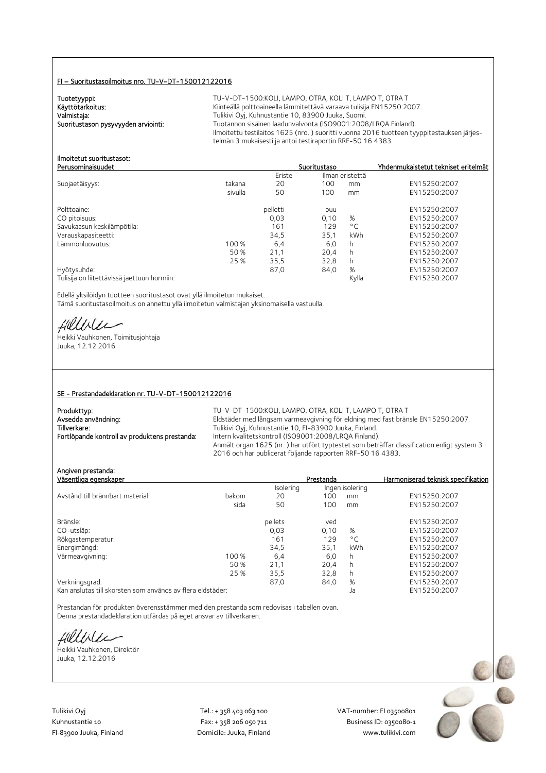#### FI – Suoritustasoilmoitus nro. TU-V-DT-150012122016

Tuotetyyppi:<br>Käyttötarkoitus:

TU-V-DT-1500:KOLI, LAMPO, OTRA, KOLI T, LAMPO T, OTRA T Käyttötarkoitus: Käyttötarkoitus: Kiinteällä polttoaineella lämmitettävä varaava tulisija EN15250:2007.<br>Valmistaja: Valmistaja: Kuhnustantie 10, 83900 Juuka, Suomi. Valmistaja: Tulikivi Oyj, Kuhnustantie 10, 83900 Juuka, Suomi. Tuotannon sisäinen laadunvalvonta (ISO9001:2008/LRQA Finland). Ilmoitettu testilaitos 1625 (nro. ) suoritti vuonna 2016 tuotteen tyyppitestauksen järjestelmän 3 mukaisesti ja antoi testiraportin RRF-50 16 4383.

#### Ilmoitetut suoritustasot: Perusominaisuudet Suoritustaso Yhdenmukaistetut tekniset eritelmät

|                                             |         | Eriste   | Ilman eristettä |              |              |
|---------------------------------------------|---------|----------|-----------------|--------------|--------------|
| Suojaetäisyys:                              | takana  | 20       | 100             | mm           | EN15250:2007 |
|                                             | sivulla | 50       | 100             | mm           | EN15250:2007 |
| Polttoaine:                                 |         | pelletti | puu             |              | EN15250:2007 |
| CO pitoisuus:                               |         | 0,03     | 0,10            | %            | EN15250:2007 |
| Savukaasun keskilämpötila:                  |         | 161      | 129             | $^{\circ}$ C | EN15250:2007 |
| Varauskapasiteetti:                         |         | 34.5     | 35.1            | kWh          | EN15250:2007 |
| Lämmönluovutus:                             | 100 %   | 6,4      | 6,0             | h.           | EN15250:2007 |
|                                             | 50 %    | 21.1     | 20.4            | h.           | EN15250:2007 |
|                                             | 25 %    | 35,5     | 32.8            | h.           | EN15250:2007 |
| Hyötysuhde:                                 |         | 87,0     | 84,0            | %            | EN15250:2007 |
| Tulisija on liitettävissä jaettuun hormiin: |         |          |                 | Kyllä        | EN15250:2007 |

Edellä yksilöidyn tuotteen suoritustasot ovat yllä ilmoitetun mukaiset. Tämä suoritustasoilmoitus on annettu yllä ilmoitetun valmistajan yksinomaisella vastuulla.

fillblu

Heikki Vauhkonen, Toimitusjohtaja Juuka, 12.12.2016

#### SE - Prestandadeklaration nr. TU-V-DT-150012122016

| Produkttyp:                                   | TU-V-DT-1500:KOLI. LAMPO. OTRA. KOLI T. LAMPO T. OTRA T                                     |
|-----------------------------------------------|---------------------------------------------------------------------------------------------|
| Avsedda användning:                           | Eldstäder med långsam värmeavgivning för eldning med fast bränsle EN15250:2007.             |
| Tillverkare:                                  | Tulikivi Oyj, Kuhnustantie 10, FI-83900 Juuka, Finland.                                     |
| Fortlöpande kontroll av produktens prestanda: | Intern kvalitetskontroll (ISO9001:2008/LRQA Finland).                                       |
|                                               | Anmält organ 1625 (nr.) har utfört typtestet som beträffar classification enligt system 3 i |
|                                               | 2016 och har publicerat följande rapporten RRF-50 16 4383.                                  |

Angiven prestanda:<br>Väsentliga egenskaper **Prestanda** Harmoniserad teknisk specifikation<br>Isolering Ingen isolering Ingen isolering Avstånd till brännbart material: bakom 20 100 mm EN15250:2007 sida 50 100 mm EN15250:2007 Bränsle: pellets ved EN15250:2007 CO-utsläp: 0,03 0,10 % EN15250:2007 Rökgastemperatur: 161 129 °C<br>
Rökgastemperatur: 129 °C<br>
161 129 °C 251 kWh Energimängd: 34,5 35,1 kWh EN15250:2007 Värmeavgivning: 100 % 6,4 6,0<br>50 % 50 % 51,1 20,4 50 % 21,1 20,4 h EN15250:2007 25 % 35,5 32,8 h EN15250:2007 Verkningsgrad: 87,0 84,0 % EN15250:2007

Kan anslutas till skorsten som används av flera eldstäder:

Prestandan för produkten överensstämmer med den prestanda som redovisas i tabellen ovan. Denna prestandadeklaration utfärdas på eget ansvar av tillverkaren.

Hellile

Heikki Vauhkonen, Direktör Juuka, 12.12.2016

Tulikivi Oyj Tel.: + 358 403 063 100 VAT‐number: FI 03500801

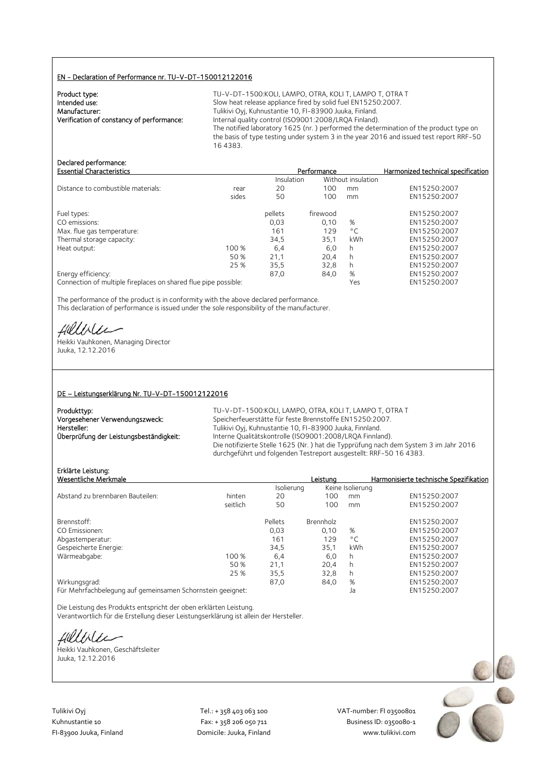#### EN - Declaration of Performance nr. TU-V-DT-150012122016

| Product type:                             |  |
|-------------------------------------------|--|
| Intended use:                             |  |
| Manufacturer:                             |  |
| Verification of constancy of performance: |  |
|                                           |  |

TU-V-DT-1500:KOLI, LAMPO, OTRA, KOLI T, LAMPO T, OTRA T Slow heat release appliance fired by solid fuel EN15250:2007. Tulikivi Oyj, Kuhnustantie 10, FI-83900 Juuka, Finland. Internal quality control (ISO9001:2008/LRQA Finland). The notified laboratory 1625 (nr. ) performed the determination of the product type on the basis of type testing under system 3 in the year 2016 and issued test report RRF-50 16 4383.

## Declared performance:

| <b>Essential Characteristics</b>   |       | Performance |          | Harmonized technical specification |              |
|------------------------------------|-------|-------------|----------|------------------------------------|--------------|
|                                    |       | Insulation  |          | Without insulation                 |              |
| Distance to combustible materials: | rear  | 20          | 100      | mm                                 | EN15250:2007 |
|                                    | sides | 50          | 100      | mm                                 | EN15250:2007 |
| Fuel types:                        |       | pellets     | firewood |                                    | EN15250:2007 |
| CO emissions:                      |       | 0,03        | 0.10     | %                                  | EN15250:2007 |
| Max. flue gas temperature:         |       | 161         | 129      | $^{\circ}$ C                       | EN15250:2007 |
| Thermal storage capacity:          |       | 34.5        | 35.1     | kWh                                | EN15250:2007 |
| Heat output:                       | 100 % | 6,4         | 6,0      | h                                  | EN15250:2007 |
|                                    | 50 %  | 21,1        | 20.4     | h                                  | EN15250:2007 |
|                                    | 25 %  | 35,5        | 32,8     |                                    | EN15250:2007 |
| Energy efficiency:                 |       | 87,0        | 84,0     | %                                  | EN15250:2007 |
|                                    |       |             |          |                                    |              |

Connection of multiple fireplaces on shared flue pipe possible: Yes EN15250:2007

The performance of the product is in conformity with the above declared performance. This declaration of performance is issued under the sole responsibility of the manufacturer.

Helliler

Heikki Vauhkonen, Managing Director Juuka, 12.12.2016

#### DE – Leistungserklärung Nr. TU-V-DT-150012122016

| Produkttyp:                             | Τl  |
|-----------------------------------------|-----|
| Vorgesehener Verwendungszweck:          | Sc  |
| Hersteller:                             | Tι. |
| Überprüfung der Leistungsbeständigkeit: | Int |
|                                         | n:  |

J-V-DT-1500:KOLI, LAMPO, OTRA, KOLI T, LAMPO T, OTRA T veicherfeuerstätte für feste Brennstoffe EN15250:2007. Ilikivi Oyj, Kuhnustantie 10, FI-83900 Juuka, Finnland. terne Qualitätskontrolle (ISO9001:2008/LRQA Finnland). Die notifizierte Stelle 1625 (Nr. ) hat die Typprüfung nach dem System 3 im Jahr 2016 durchgeführt und folgenden Testreport ausgestellt: RRF-50 16 4383.

## Erklärte Leistung:

| Erklärte Leistung:<br>Wesentliche Merkmale                                                                           |          |            | Leistuna  |                  | Harmonisierte technische Spezifikation |
|----------------------------------------------------------------------------------------------------------------------|----------|------------|-----------|------------------|----------------------------------------|
|                                                                                                                      |          | Isolierung |           | Keine Isolierung |                                        |
| Abstand zu brennbaren Bauteilen:                                                                                     | hinten   | 20         | 100       | mm               | EN15250:2007                           |
|                                                                                                                      | seitlich | 50         | 100       | mm               | EN15250:2007                           |
| Brennstoff:                                                                                                          |          | Pellets    | Brennholz |                  | EN15250:2007                           |
| CO Emissionen:                                                                                                       |          | 0.03       | 0.10      | %                | EN15250:2007                           |
| Abgastemperatur:                                                                                                     |          | 161        | 129       | $^{\circ}$ C     | EN15250:2007                           |
| Gespeicherte Energie:                                                                                                |          | 34,5       | 35,1      | kWh              | EN15250:2007                           |
| Wärmeabgabe:                                                                                                         | 100 %    | 6,4        | 6,0       | h.               | EN15250:2007                           |
|                                                                                                                      | 50 %     | 21,1       | 20,4      | h.               | EN15250:2007                           |
|                                                                                                                      | 25 %     | 35,5       | 32,8      | h.               | EN15250:2007                           |
| Wirkungsgrad:                                                                                                        |          | 87.0       | 84,0      | %                | EN15250:2007                           |
| $\blacksquare$ . A share the state of the set of the set of the set of $\blacksquare$ . It is an existent of the set |          |            |           |                  | $T$ MAFSEA.3007                        |

Für Mehrfachbelegung auf gemeinsamen Schornstein geeignet: Ja EN15250:2007

Die Leistung des Produkts entspricht der oben erklärten Leistung. Verantwortlich für die Erstellung dieser Leistungserklärung ist allein der Hersteller.

Hillble

Heikki Vauhkonen, Geschäftsleiter Juuka, 12.12.2016

Tulikivi Oyj Tel.: + 358 403 063 100 VAT‐number: FI 03500801

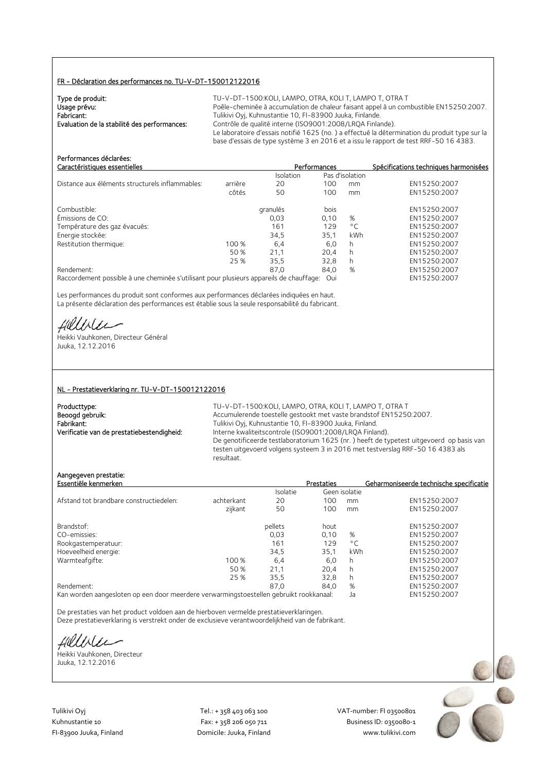#### FR - Déclaration des performances no. TU-V-DT-150012122016

| Type de produit:                             | TU-V-DT-1500: KOLI, LAMPO, OTRA, KOLI T, LAMPO T, OTRA T                                      |
|----------------------------------------------|-----------------------------------------------------------------------------------------------|
| Usage prévu:                                 | Poêle-cheminée à accumulation de chaleur faisant appel à un combustible EN15250:2007.         |
| Fabricant:                                   | Tulikivi Oyj, Kuhnustantie 10, FI-83900 Juuka, Finlande.                                      |
| Evaluation de la stabilité des performances: | Contrôle de qualité interne (ISO9001:2008/LROA Finlande).                                     |
|                                              | Le laboratoire d'essais notifié 1625 (no.) a effectué la détermination du produit type sur la |
|                                              | base d'essais de type système 3 en 2016 et a issu le rapport de test RRF-50 16 4383.          |

| Caractéristiques essentielles                                                           |         | Performances |      | Spécifications techniques harmonisées |              |
|-----------------------------------------------------------------------------------------|---------|--------------|------|---------------------------------------|--------------|
|                                                                                         |         | Isolation    |      | Pas d'isolation                       |              |
| Distance aux éléments structurels inflammables:                                         | arrière | 20           | 100  | mm                                    | EN15250:2007 |
|                                                                                         | côtés   | 50           | 100  | mm                                    | EN15250:2007 |
| Combustible:                                                                            |         | granulés     | bois |                                       | EN15250:2007 |
| Émissions de CO:                                                                        |         | 0,03         | 0,10 | %                                     | EN15250:2007 |
| Température des gaz évacués:                                                            |         | 161          | 129  | $^{\circ}$ C                          | EN15250:2007 |
| Energie stockée:                                                                        |         | 34,5         | 35,1 | kWh                                   | EN15250:2007 |
| Restitution thermique:                                                                  | 100 %   | 6,4          | 6,0  | h                                     | EN15250:2007 |
|                                                                                         | 50 %    | 21,1         | 20.4 | h                                     | EN15250:2007 |
|                                                                                         | 25 %    | 35.5         | 32.8 | h                                     | EN15250:2007 |
| Rendement:                                                                              |         | 87.0         | 84,0 | %                                     | EN15250:2007 |
| Raccordement possible à une cheminée s'utilisant pour plusieurs appareils de chauffage: |         |              | Oui  |                                       | EN15250:2007 |

Les performances du produit sont conformes aux performances déclarées indiquées en haut. La présente déclaration des performances est établie sous la seule responsabilité du fabricant.

Hillble

Performances déclarées:

Heikki Vauhkonen, Directeur Général Juuka, 12.12.2016

#### NL - Prestatieverklaring nr. TU-V-DT-150012122016

| Producttype:                               |
|--------------------------------------------|
| Beoogd gebruik:                            |
| Fabrikant:                                 |
| Verificatie van de prestatiebestendigheid: |

TU-V-DT-1500: KOLI, LAMPO, OTRA, KOLI T, LAMPO T, OTRA T Accumulerende toestelle gestookt met vaste brandstof EN15250:2007. Fabrikant: Tulikivi Oyj, Kuhnustantie 10, FI-83900 Juuka, Finland. Interne kwaliteitscontrole (ISO9001:2008/LRQA Finland). De genotificeerde testlaboratorium 1625 (nr. ) heeft de typetest uitgevoerd op basis van testen uitgevoerd volgens systeem 3 in 2016 met testverslag RRF-50 16 4383 als resultaat.

#### Aangegeven prestatie:

| Essentiële kenmerken                    |            |          | <b>Prestaties</b> |              | Geharmoniseerde technische specificatie |
|-----------------------------------------|------------|----------|-------------------|--------------|-----------------------------------------|
|                                         |            | Isolatie | Geen isolatie     |              |                                         |
| Afstand tot brandbare constructiedelen: | achterkant | 20       | 100               | mm           | EN15250:2007                            |
|                                         | zijkant    | 50       | 100               | mm           | EN15250:2007                            |
| Brandstof:                              |            | pellets  | hout              |              | EN15250:2007                            |
| CO-emissies:                            |            | 0.03     | 0.10              | %            | EN15250:2007                            |
| Rookgastemperatuur:                     |            | 161      | 129               | $^{\circ}$ C | EN15250:2007                            |
| Hoeveelheid energie:                    |            | 34.5     | 35.1              | kWh          | EN15250:2007                            |
| Warmteafgifte:                          | 100 %      | 6,4      | 6.0               | h            | EN15250:2007                            |
|                                         | 50 %       | 21,1     | 20,4              | h            | EN15250:2007                            |
|                                         | 25 %       | 35,5     | 32,8              | h            | EN15250:2007                            |
| Rendement:                              |            | 87,0     | 84,0              | %            | EN15250:2007                            |
|                                         |            |          |                   |              |                                         |

Kan worden aangesloten op een door meerdere verwarmingstoestellen gebruikt rookkanaal: Ja EN15250:2007

De prestaties van het product voldoen aan de hierboven vermelde prestatieverklaringen. Deze prestatieverklaring is verstrekt onder de exclusieve verantwoordelijkheid van de fabrikant.

fillble

Heikki Vauhkonen, Directeur Juuka, 12.12.2016

Tulikivi Oyj Tel.: + 358 403 063 100 VAT‐number: FI 03500801

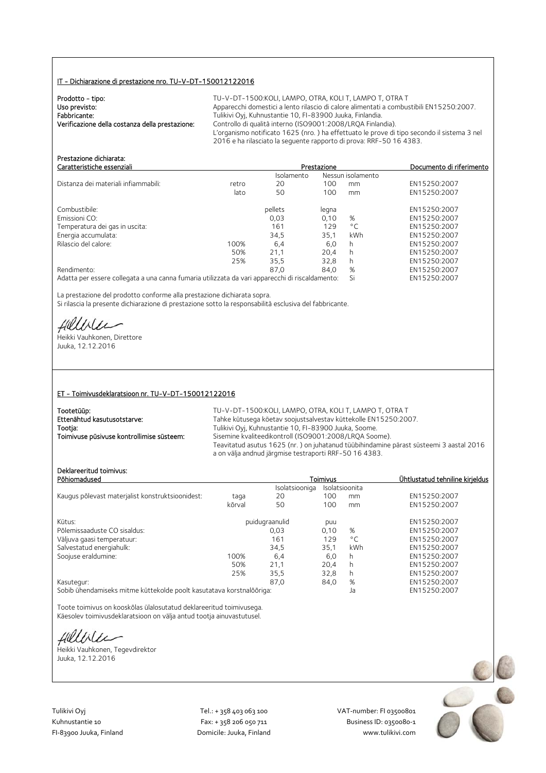#### IT - Dichiarazione di prestazione nro. TU-V-DT-150012122016

| Prodotto - tipo:                                | $TU-V-DT-15$     |
|-------------------------------------------------|------------------|
| Uso previsto:                                   | Apparecchi do    |
| Fabbricante:                                    | Tulikivi Oyj, Kı |
| Verificazione della costanza della prestazione: | Controllo di q   |
|                                                 | L'organismo n    |

**Prodotto - tipo: TU-V-DT-ADT-ADT-1500** omestici a lento rilascio di calore alimentati a combustibili EN15250:2007. uhnustantie 10, FI-83900 Juuka, Finlandia. valità interno (ISO9001:2008/LRQA Finlandia). notificato 1625 (nro.) ha effettuato le prove di tipo secondo il sistema 3 nel 2016 e ha rilasciato la seguente rapporto di prova: RRF-50 16 4383.

| Prestazione dichiarata:<br>Caratteristiche essenziali                                           |       |            | Prestazione |                   | Documento di riferimento |
|-------------------------------------------------------------------------------------------------|-------|------------|-------------|-------------------|--------------------------|
|                                                                                                 |       | Isolamento |             | Nessun isolamento |                          |
| Distanza dei materiali infiammabili:                                                            | retro | 20         | 100         | mm                | EN15250:2007             |
|                                                                                                 | lato  | 50         | 100         | mm                | EN15250:2007             |
| Combustibile:                                                                                   |       | pellets    | legna       |                   | EN15250:2007             |
| Emissioni CO:                                                                                   |       | 0.03       | 0.10        | %                 | EN15250:2007             |
| Temperatura dei gas in uscita:                                                                  |       | 161        | 129         | $^{\circ}$ C      | EN15250:2007             |
| Energia accumulata:                                                                             |       | 34,5       | 35.1        | kWh               | EN15250:2007             |
| Rilascio del calore:                                                                            | 100%  | 6,4        | 6,0         | h                 | EN15250:2007             |
|                                                                                                 | 50%   | 21,1       | 20.4        | h                 | EN15250:2007             |
|                                                                                                 | 25%   | 35.5       | 32.8        | h                 | EN15250:2007             |
| Rendimento:                                                                                     |       | 87.0       | 84.0        | %                 | EN15250:2007             |
| Adatta per essere collegata a una canna fumaria utilizzata da vari apparecchi di riscaldamento: |       |            |             | Si                | EN15250:2007             |

La prestazione del prodotto conforme alla prestazione dichiarata sopra. Si rilascia la presente dichiarazione di prestazione sotto la responsabilità esclusiva del fabbricante.

Hillble

Heikki Vauhkonen, Direttore Juuka, 12.12.2016

#### ET - Toimivusdeklaratsioon nr. TU-V-DT-150012122016

| Tootetüüp:                                | TU-V-DT-1500:KOLI, LAMPO, OTRA, KOLI T, LAMPO T, OTRA T                                                                                          |
|-------------------------------------------|--------------------------------------------------------------------------------------------------------------------------------------------------|
| Ettenähtud kasutusotstarve:               | Tahke kütusega köetav soojustsalvestav küttekolle EN15250:2007.                                                                                  |
| Tootja:                                   | Tulikivi Oyj, Kuhnustantie 10, FI-83900 Juuka, Soome.                                                                                            |
| Toimivuse püsivuse kontrollimise süsteem: | Sisemine kvaliteedikontroll (ISO9001:2008/LRQA Soome).                                                                                           |
|                                           | Teavitatud asutus 1625 (nr.) on juhatanud tüübihindamine pärast süsteemi 3 aastal 2016<br>a on välja andnud järgmise testraporti RRF-50 16 4383. |

## Deklareeritud toimivus:

| DENIGI EEHLUU TUIHIIVUS.<br>Põhiomadused         |        |                                  | Toimivus |              | Ühtlustatud tehniline kirieldus |
|--------------------------------------------------|--------|----------------------------------|----------|--------------|---------------------------------|
|                                                  |        | Isolatsioonita<br>Isolatsiooniga |          |              |                                 |
| Kaugus põlevast materjalist konstruktsioonidest: | taqa   | 20                               | 100      | mm           | EN15250:2007                    |
|                                                  | kõrval | 50                               | 100      | mm           | EN15250:2007                    |
| Kütus:                                           |        | puidugraanulid                   | puu      |              | EN15250:2007                    |
| Põlemissaaduste CO sisaldus:                     |        | 0,03                             | 0,10     | %            | EN15250:2007                    |
| Väljuva gaasi temperatuur:                       |        | 161                              | 129      | $^{\circ}$ C | EN15250:2007                    |
| Salvestatud energiahulk:                         |        | 34.5                             | 35.1     | kWh          | EN15250:2007                    |
| Soojuse eraldumine:                              | 100%   | 6,4                              | 6,0      | h            | EN15250:2007                    |
|                                                  | 50%    | 21,1                             | 20.4     | h            | EN15250:2007                    |
|                                                  | 25%    | 35,5                             | 32,8     | h            | EN15250:2007                    |
| Kasutegur:                                       |        | 87.0                             | 84,0     | %            | EN15250:2007                    |
| the first contract of the con-                   |        |                                  |          |              |                                 |

Sobib ühendamiseks mitme küttekolde poolt kasutatava korstnalõõriga: Ja EN15250:2007

Toote toimivus on kooskõlas ülalosutatud deklareeritud toimivusega. Käesolev toimivusdeklaratsioon on välja antud tootja ainuvastutusel.

fillbile

Heikki Vauhkonen, Tegevdirektor Juuka, 12.12.2016

Tulikivi Oyj Tel.: + 358 403 063 100 VAT‐number: FI 03500801

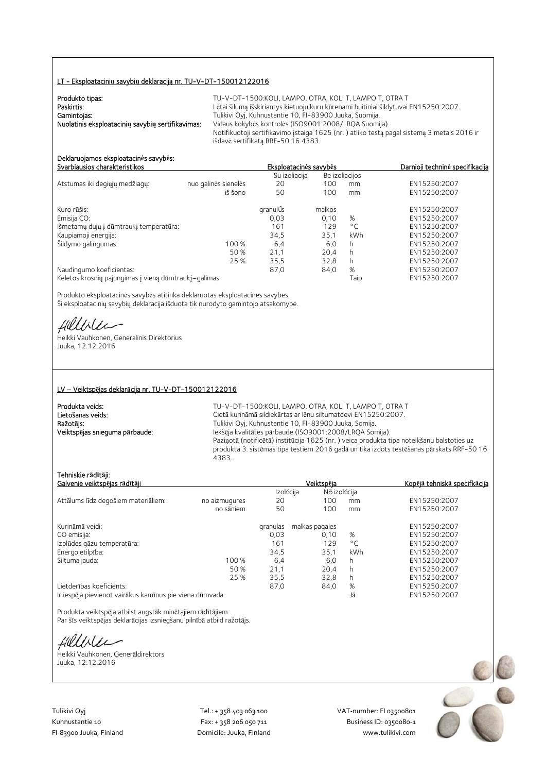#### LT - Eksploatacini**ų** savybi**ų** deklaracij**ą** nr. TU-V-DT-150012122016

| Produkto tipas:                                   | TU-V-DT-1500:KOLI. LAMPO. OTRA. KOLI T. LAMPO T. OTRA T                                    |
|---------------------------------------------------|--------------------------------------------------------------------------------------------|
| Paskirtis:                                        | Lėtai šilumą išskiriantys kietuoju kuru kūrenami buitiniai šildytuvai EN15250:2007.        |
| Gamintojas:                                       | Tulikivi Oyj, Kuhnustantie 10, FI-83900 Juuka, Suomija.                                    |
| Nuolatinis eksploatacinių savybių sertifikavimas: | Vidaus kokybės kontrolės (ISO9001:2008/LRQA Suomija).                                      |
|                                                   | Notifikuotoji sertifikavimo įstaiga 1625 (nr.) atliko testą pagal sistemą 3 metais 2016 ir |
|                                                   | išdavė sertifikata RRF-50 16 4383.                                                         |

#### Deklaruojamos eksploatacin**ė**s savyb**ė**s: Svarbiausios charakteristikos Eksploatacin**ė**s savyb**ė**s Darnioji technin**ė** specifikacija

|                                                       |                      | Su izoliacija |        | Be izoliacijos |              |
|-------------------------------------------------------|----------------------|---------------|--------|----------------|--------------|
| Atstumas iki degiųjų medžiagų:                        | nuo galinės sienelės | 20            | 100    | mm             | EN15250:2007 |
|                                                       | iš šono              | 50            | 100    | mm             | EN15250:2007 |
| Kuro rūšis:                                           |                      | granulÚs      | malkos |                | EN15250:2007 |
| Emisija CO:                                           |                      | 0,03          | 0,10   | %              | EN15250:2007 |
| Išmetamų dujų į dūmtraukį temperatūra:                |                      | 161           | 129    | $^{\circ}$ C   | EN15250:2007 |
| Kaupiamoji energija:                                  |                      | 34.5          | 35.1   | kWh            | EN15250:2007 |
| Šildymo galingumas:                                   | 100 %                | 6,4           | 6,0    | h              | EN15250:2007 |
|                                                       | 50 %                 | 21.1          | 20.4   | h              | EN15250:2007 |
|                                                       | 25 %                 | 35,5          | 32.8   | h              | EN15250:2007 |
| Naudingumo koeficientas:                              |                      | 87,0          | 84,0   | %              | EN15250:2007 |
| Keletos krosnių pajungimas į vieną dūmtraukį-galimas: |                      |               |        | Taip           | EN15250:2007 |

Produkto eksploatacinės savybės atitinka deklaruotas eksploatacines savybes. Ši eksploatacinių savybių deklaracija išduota tik nurodyto gamintojo atsakomybe.

Hillbler

Heikki Vauhkonen, Generalinis Direktorius Juuka, 12.12.2016

#### LV – Veiktsp**ē**jas deklar**ā**cija nr. TU-V-DT-150012122016

Produkta veids:<br> **TU-V-DT-1500:KOLI, LAMPO, OTRA, KOLI T, LAMPO T, OTRA T**<br>
Cietā kurināmā sildiekārtas ar lēnu siltumatdevi EN15250:2007. Lietošanas veids: Cietā kurināmā sildiekārtas ar lēnu siltumatdevi EN15250:2007.<br>
Ražotājs: Cietā kurināmā sildiekārtas ar lēnu siltumatdevi EN15250:2007. Tulikivi Oyj, Kuhnustantie 10, FI-83900 Juuka, Somija. Veiktsp**ē**jas snieguma p**ā**rbaude: Iekšēja kvalitātes pārbaude (ISO9001:2008/LRQA Somija). Paziņotā (notificētā) institūcija 1625 (nr. ) veica produkta tipa noteikšanu balstoties uz produkta 3. sistēmas tipa testiem 2016 gadā un tika izdots testēšanas pārskats RRF-50 16 4383.

#### Tehniskie r**ā**d**ī**t**ā**ji:

| Galvenie veiktspējas rādītāji                            |               |           | Veiktspēja     | <u>Kopējā tehniskā specifkācija</u> |              |
|----------------------------------------------------------|---------------|-----------|----------------|-------------------------------------|--------------|
|                                                          |               | Izolúcija | Nõ izolúcija   |                                     |              |
| Attālums līdz degošiem materiāliem:                      | no aizmugures | 20        | 100            | mm                                  | EN15250:2007 |
|                                                          | no sāniem     | 50        | 100            | mm                                  | EN15250:2007 |
| Kurināmā veidi:                                          |               | granulas  | malkas pagales |                                     | EN15250:2007 |
| CO emisija:                                              |               | 0,03      | 0.10           | %                                   | EN15250:2007 |
| Izplūdes gāzu temperatūra:                               |               | 161       | 129            | $^{\circ}$ C                        | EN15250:2007 |
| Energoietilpība:                                         |               | 34,5      | 35,1           | kWh                                 | EN15250:2007 |
| Siltuma jauda:                                           | 100 %         | 6,4       | 6,0            | h                                   | EN15250:2007 |
|                                                          | 50 %          | 21,1      | 20.4           | h                                   | EN15250:2007 |
|                                                          | 25 %          | 35,5      | 32,8           | h                                   | EN15250:2007 |
| Lietderības koeficients:                                 |               | 87,0      | 84,0           | %                                   | EN15250:2007 |
| Ir iespēja pievienot vairākus kamīnus pie viena dūmvada: |               |           |                | Jā                                  | EN15250:2007 |

Produkta veiktspēja atbilst augstāk minētajiem rādītājiem. Par šīs veiktspējas deklarācijas izsniegšanu pilnībā atbild ražotājs.

Hillble

Heikki Vauhkonen, Ģenerāldirektors Juuka, 12.12.2016

Tulikivi Oyj Tel.: + 358 403 063 100 VAT‐number: FI 03500801

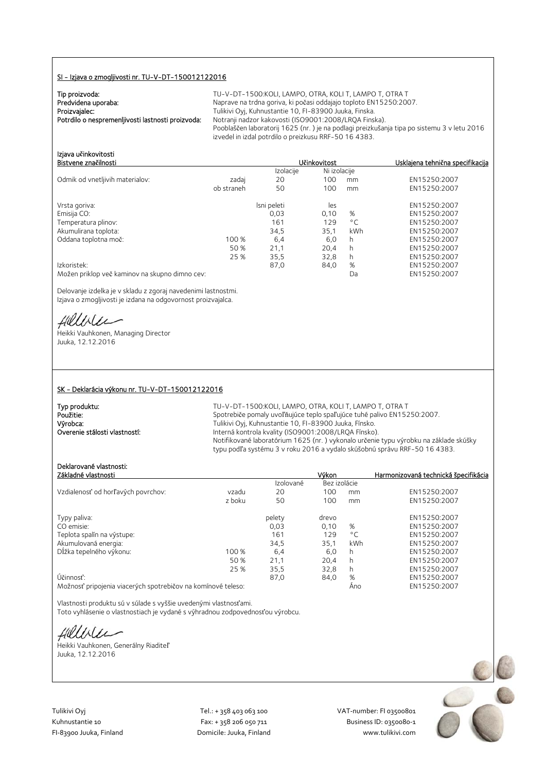#### SI - Izjava o zmogljivosti nr. TU-V-DT-150012122016

| Tip proizvoda:                                    |  |
|---------------------------------------------------|--|
| Predvidena uporaba:                               |  |
| Proizvajalec:                                     |  |
| Potrdilo o nespremenljivosti lastnosti proizvoda: |  |

TU-V-DT-1500:KOLI, LAMPO, OTRA, KOLI T, LAMPO T, OTRA T Naprave na trdna goriva, ki počasi oddajajo toploto EN15250:2007. Tulikivi Oyj, Kuhnustantie 10, FI-83900 Juuka, Finska. Notranji nadzor kakovosti (ISO9001:2008/LRQA Finska). Pooblaščen laboratorij 1625 (nr. ) je na podlagi preizkušanja tipa po sistemu 3 v letu 2016 izvedel in izdal potrdilo o preizkusu RRF-50 16 4383.

Bistvene zna**č**ilnosti U**č**inkovitost Usklajena tehni**č**na specifikacija

| Izjava učinkovitosti |  |  |
|----------------------|--|--|
| Bistvene značilnosti |  |  |
|                      |  |  |

|                                                |            | Izolacije   | Ni izolacije |     |              |
|------------------------------------------------|------------|-------------|--------------|-----|--------------|
| Odmik od vnetljivih materialov:                | zadaj      | 20          | 100          | mm  | EN15250:2007 |
|                                                | ob straneh | 50          | 100          | mm  | EN15250:2007 |
| Vrsta goriva:                                  |            | Isni peleti | les          |     | EN15250:2007 |
| Emisija CO:                                    |            | 0,03        | 0,10         | %   | EN15250:2007 |
| Temperatura plinov:                            |            | 161         | 129          | °C  | EN15250:2007 |
| Akumulirana toplota:                           |            | 34,5        | 35,1         | kWh | EN15250:2007 |
| Oddana toplotna moč:                           | 100 %      | 6,4         | 6,0          | h   | EN15250:2007 |
|                                                | 50 %       | 21,1        | 20.4         | h   | EN15250:2007 |
|                                                | 25 %       | 35.5        | 32.8         | h   | EN15250:2007 |
| Izkoristek:                                    |            | 87,0        | 84,0         | %   | EN15250:2007 |
| Možen priklop več kaminov na skupno dimno cev: |            |             |              | Da  | EN15250:2007 |

Delovanje izdelka je v skladu z zgoraj navedenimi lastnostmi. Izjava o zmogljivosti je izdana na odgovornost proizvajalca.

Hillbler

Heikki Vauhkonen, Managing Director Juuka, 12.12.2016

#### SK - Deklarácia výkonu nr. TU-V-DT-150012122016

| Typ produktu:                 | $TU -$          |
|-------------------------------|-----------------|
| Použitie:                     | S <sub>DO</sub> |
| Výrobca:                      | Tulik           |
| Overenie stálosti vlastností: | Inte            |

V-DT-1500:KOLI, LAMPO, OTRA, KOLI T, LAMPO T, OTRA T trebiče pomaly uvoľňujúce teplo spaľujúce tuhé palivo EN15250:2007. kivi Oyj, Kuhnustantie 10, FI-83900 Juuka, Fínsko. erná kontrola kvality (ISO9001:2008/LRQA Fínsko). Notifikované laboratórium 1625 (nr. ) vykonalo určenie typu výrobku na základe skúšky typu podľa systému 3 v roku 2016 a vydalo skúšobnú správu RRF-50 16 4383.

## Deklarované vlastnosti:

| Základné vlastnosti                                                                                                                                                                                                                                                                                                                                                                                                                                          |        |           | Výkon        |              | Harmonizovaná technická špecifikácia |
|--------------------------------------------------------------------------------------------------------------------------------------------------------------------------------------------------------------------------------------------------------------------------------------------------------------------------------------------------------------------------------------------------------------------------------------------------------------|--------|-----------|--------------|--------------|--------------------------------------|
|                                                                                                                                                                                                                                                                                                                                                                                                                                                              |        | Izolované | Bez izolácie |              |                                      |
| Vzdialenosť od horľavých povrchov:                                                                                                                                                                                                                                                                                                                                                                                                                           | vzadu  | 20        | 100          | mm           | EN15250:2007                         |
|                                                                                                                                                                                                                                                                                                                                                                                                                                                              | z boku | 50        | 100          | mm           | EN15250:2007                         |
| Typy paliva:                                                                                                                                                                                                                                                                                                                                                                                                                                                 |        | pelety    | drevo        |              | EN15250:2007                         |
| CO emisie:                                                                                                                                                                                                                                                                                                                                                                                                                                                   |        | 0,03      | 0.10         | %            | EN15250:2007                         |
| Teplota spalín na výstupe:                                                                                                                                                                                                                                                                                                                                                                                                                                   |        | 161       | 129          | $^{\circ}$ C | EN15250:2007                         |
| Akumulovaná energia:                                                                                                                                                                                                                                                                                                                                                                                                                                         |        | 34,5      | 35.1         | kWh          | EN15250:2007                         |
| Dĺžka tepelného výkonu:                                                                                                                                                                                                                                                                                                                                                                                                                                      | 100 %  | 6,4       | 6,0          | h            | EN15250:2007                         |
|                                                                                                                                                                                                                                                                                                                                                                                                                                                              | 50 %   | 21,1      | 20,4         | h            | EN15250:2007                         |
|                                                                                                                                                                                                                                                                                                                                                                                                                                                              | 25 %   | 35.5      | 32.8         | h            | EN15250:2007                         |
| Účinnosť:                                                                                                                                                                                                                                                                                                                                                                                                                                                    |        | 87.0      | 84,0         | %            | EN15250:2007                         |
| $\mathbf{a} \cdot \mathbf{b} = \mathbf{a} \cdot \mathbf{b} + \mathbf{b} \cdot \mathbf{c} + \mathbf{c} \cdot \mathbf{c} + \mathbf{c} \cdot \mathbf{c} + \mathbf{c} \cdot \mathbf{c} + \mathbf{c} \cdot \mathbf{c} + \mathbf{c} \cdot \mathbf{c} + \mathbf{c} \cdot \mathbf{c} + \mathbf{c} \cdot \mathbf{c} + \mathbf{c} \cdot \mathbf{c} + \mathbf{c} \cdot \mathbf{c} + \mathbf{c} \cdot \mathbf{c} + \mathbf{c} \cdot \mathbf{c} + \mathbf{c} \cdot \math$ |        |           |              |              | <b>FULLEDED DOOT</b>                 |

Možnosť pripojenia viacerých spotrebičov na komínové teleso: Áno EN15250:2007

Vlastnosti produktu sú v súlade s vyššie uvedenými vlastnosťami. Toto vyhlásenie o vlastnostiach je vydané s výhradnou zodpovednosťou výrobcu.

fillble

Heikki Vauhkonen, Generálny Riaditeľ Juuka, 12.12.2016